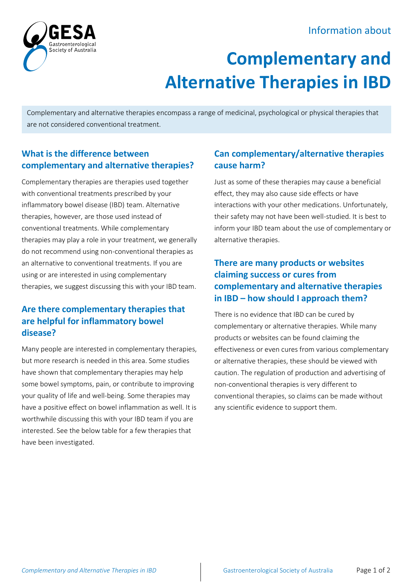## Information about



# **Complementary and Alternative Therapies in IBD**

Complementary and alternative therapies encompass a range of medicinal, psychological or physical therapies that are not considered conventional treatment.

### **What is the difference between complementary and alternative therapies?**

Complementary therapies are therapies used together with conventional treatments prescribed by your inflammatory bowel disease (IBD) team. Alternative therapies, however, are those used instead of conventional treatments. While complementary therapies may play a role in your treatment, we generally do not recommend using non-conventional therapies as an alternative to conventional treatments. If you are using or are interested in using complementary therapies, we suggest discussing this with your IBD team.

#### **Are there complementary therapies that are helpful for inflammatory bowel disease?**

Many people are interested in complementary therapies, but more research is needed in this area. Some studies have shown that complementary therapies may help some bowel symptoms, pain, or contribute to improving your quality of life and well-being. Some therapies may have a positive effect on bowel inflammation as well. It is worthwhile discussing this with your IBD team if you are interested. See the below table for a few therapies that have been investigated.

### **Can complementary/alternative therapies cause harm?**

Just as some of these therapies may cause a beneficial effect, they may also cause side effects or have interactions with your other medications. Unfortunately, their safety may not have been well-studied. It is best to inform your IBD team about the use of complementary or alternative therapies.

### **There are many products or websites claiming success or cures from complementary and alternative therapies in IBD – how should I approach them?**

There is no evidence that IBD can be cured by complementary or alternative therapies. While many products or websites can be found claiming the effectiveness or even cures from various complementary or alternative therapies, these should be viewed with caution. The regulation of production and advertising of non-conventional therapies is very different to conventional therapies, so claims can be made without any scientific evidence to support them.